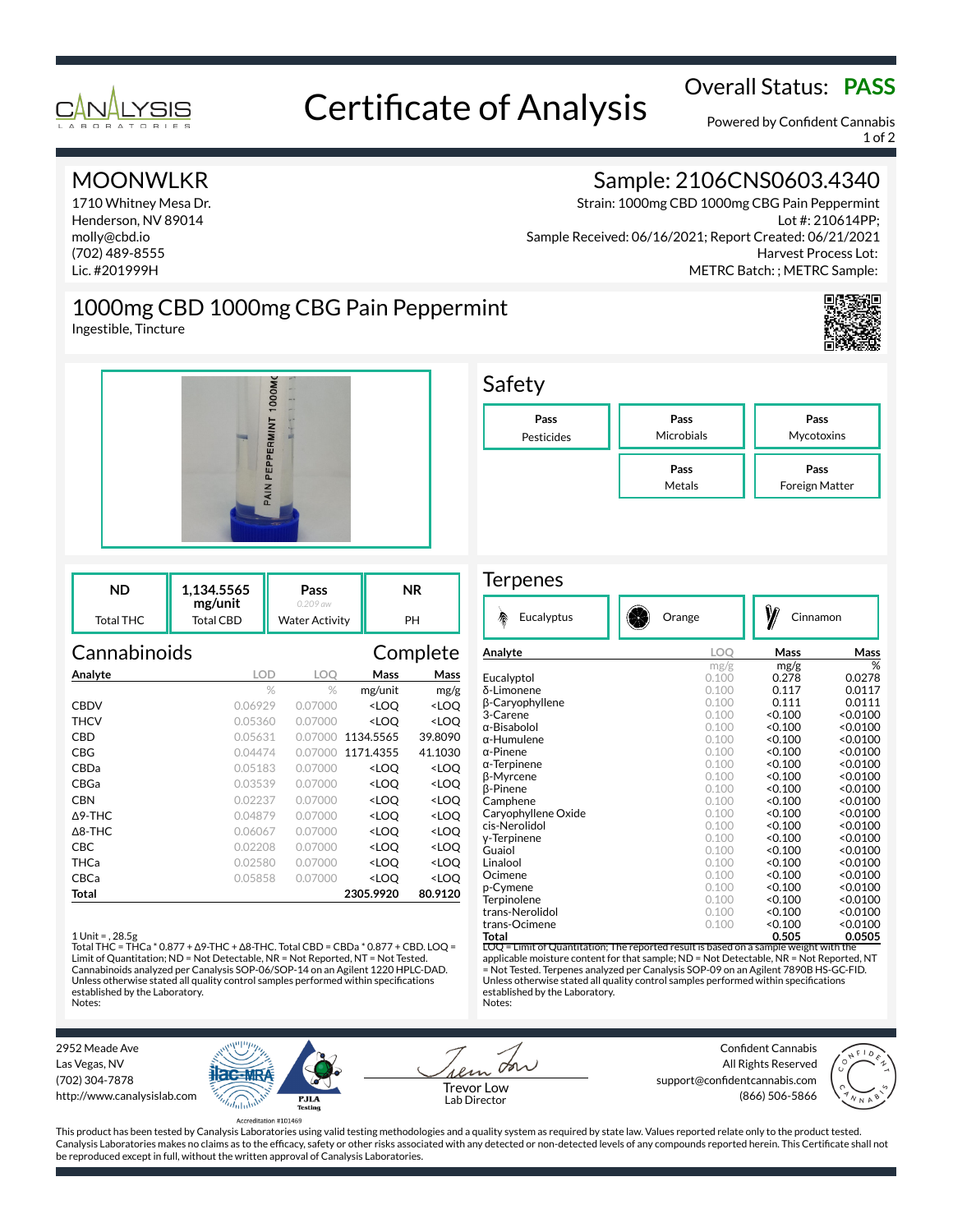

# Overall Status: **PASS**<br>Certificate of Analysis

Powered by Confident Cannabis 1 of 2

### MOONWLKR

1710 Whitney Mesa Dr. Henderson, NV 89014 molly@cbd.io (702) 489-8555 Lic. #201999H

## Sample: 2106CNS0603.4340

Strain: 1000mg CBD 1000mg CBG Pain Peppermint Lot #: 210614PP; Sample Received: 06/16/2021; Report Created: 06/21/2021 Harvest Process Lot: METRC Batch: ; METRC Sample:

## 1000mg CBD 1000mg CBG Pain Peppermint

Ingestible, Tincture



| ND        | 1.134.5565<br>mg/unit | Pass<br>$0.209$ aw    | ΝR |
|-----------|-----------------------|-----------------------|----|
| Total THC | Total CBD             | <b>Water Activity</b> | PH |

| Cannabinoids      |            |            | Complete                                        |                     |  |
|-------------------|------------|------------|-------------------------------------------------|---------------------|--|
| Analyte           | <b>LOD</b> | <b>LOO</b> | Mass                                            | Mass                |  |
|                   | $\%$       | $\%$       | mg/unit                                         | mg/g                |  |
| <b>CBDV</b>       | 0.06929    | 0.07000    | <loo< th=""><th><loo< th=""></loo<></th></loo<> | <loo< th=""></loo<> |  |
| <b>THCV</b>       | 0.05360    | 0.07000    | <loq< th=""><th><loq< th=""></loq<></th></loq<> | <loq< th=""></loq<> |  |
| CBD               | 0.05631    | 0.07000    | 1134.5565                                       | 39.8090             |  |
| CBG               | 0.04474    | 0.07000    | 1171.4355                                       | 41.1030             |  |
| CBDa              | 0.05183    | 0.07000    | <loo< th=""><th><loo< th=""></loo<></th></loo<> | <loo< th=""></loo<> |  |
| CBGa              | 0.03539    | 0.07000    | <loq< th=""><th><loq< th=""></loq<></th></loq<> | <loq< th=""></loq<> |  |
| <b>CBN</b>        | 0.02237    | 0.07000    | <loo< th=""><th><loo< th=""></loo<></th></loo<> | <loo< th=""></loo<> |  |
| $\Delta$ 9-THC    | 0.04879    | 0.07000    | <loo< th=""><th><loq< th=""></loq<></th></loo<> | <loq< th=""></loq<> |  |
| $\triangle$ 8-THC | 0.06067    | 0.07000    | <loo< th=""><th><loq< th=""></loq<></th></loo<> | <loq< th=""></loq<> |  |
| CBC               | 0.02208    | 0.07000    | <loo< th=""><th><loo< th=""></loo<></th></loo<> | <loo< th=""></loo<> |  |
| THCa              | 0.02580    | 0.07000    | <loq< th=""><th><loq< th=""></loq<></th></loq<> | <loq< th=""></loq<> |  |
| CBCa              | 0.05858    | 0.07000    | <loo< th=""><th><loo< th=""></loo<></th></loo<> | <loo< th=""></loo<> |  |
| Total             |            |            | 2305.9920                                       | 80.9120             |  |

### 1 Unit = , 28.5g

Total THC = THCa \* 0.877 + ∆9-THC + ∆8-THC. Total CBD = CBDa \* 0.877 + CBD. LOQ = Limit of Quantitation; ND = Not Detectable, NR = Not Reported, NT = Not Tested. Cannabinoids analyzed per Canalysis SOP-06/SOP-14 on an Agilent 1220 HPLC-DAD. Unless otherwise stated all quality control samples performed within specifications established by the Laboratory. Notes:



### **Terpenes**

| 參<br>Eucalyptus                   | Orange     | Cinnamon |          |
|-----------------------------------|------------|----------|----------|
| Analyte                           | <b>LOO</b> | Mass     | Mass     |
|                                   | mg/g       | mg/g     | %        |
| Eucalyptol                        | 0.100      | 0.278    | 0.0278   |
| δ-Limonene                        | 0.100      | 0.117    | 0.0117   |
| β-Caryophyllene                   | 0.100      | 0.111    | 0.0111   |
| 3-Carene                          | 0.100      | < 0.100  | < 0.0100 |
| $\alpha$ -Bisabolol               | 0.100      | < 0.100  | < 0.0100 |
| $\alpha$ -Humulene                | 0.100      | < 0.100  | < 0.0100 |
| $\alpha$ -Pinene                  | 0.100      | < 0.100  | < 0.0100 |
| $\alpha$ -Terpinene               | 0.100      | < 0.100  | < 0.0100 |
| <b>B-Myrcene</b>                  | 0.100      | < 0.100  | < 0.0100 |
| <b>B-Pinene</b>                   | 0.100      | < 0.100  | < 0.0100 |
| Camphene                          | 0.100      | < 0.100  | < 0.0100 |
| Caryophyllene Oxide               | 0.100      | < 0.100  | < 0.0100 |
| cis-Nerolidol                     | 0.100      | < 0.100  | < 0.0100 |
| y-Terpinene                       | 0.100      | < 0.100  | < 0.0100 |
| Guaiol                            | 0.100      | < 0.100  | < 0.0100 |
| Linalool                          | 0.100      | < 0.100  | < 0.0100 |
| Ocimene                           | 0.100      | < 0.100  | < 0.0100 |
| p-Cymene                          | 0.100      | < 0.100  | < 0.0100 |
| Terpinolene                       | 0.100      | < 0.100  | < 0.0100 |
| trans-Nerolidol                   | 0.100      | < 0.100  | < 0.0100 |
| trans-Ocimene                     | 0.100      | < 0.100  | < 0.0100 |
| Total<br>$\overline{\phantom{a}}$ |            | 0.505    | 0.0505   |

 $\overline{\text{e}}$  Limit of Quantitation; The reported result is based on a sample weight with the applicable moisture content for that sample; ND = Not Detectable, NR = Not Reported, NT = Not Tested. Terpenes analyzed per Canalysis SOP-09 on an Agilent 7890B HS-GC-FID. Unless otherwise stated all quality control samples performed within specifications established by the Laboratory. Notes:

2952 Meade Ave Las Vegas, NV (702) 304-7878 http://www.canalysislab.com



on Lab Director

Confident Cannabis All Rights Reserved support@confidentcannabis.com Support@commentealmabis.com<br>| 1 ab Director (866) 506-5866



This product has been tested by Canalysis Laboratories using valid testing methodologies and a quality system as required by state law. Values reported relate only to the product tested. Canalysis Laboratories makes no claims as to the efficacy, safety or other risks associated with any detected or non-detected levels of any compounds reported herein. This Certificate shall not be reproduced except in full, without the written approval of Canalysis Laboratories.